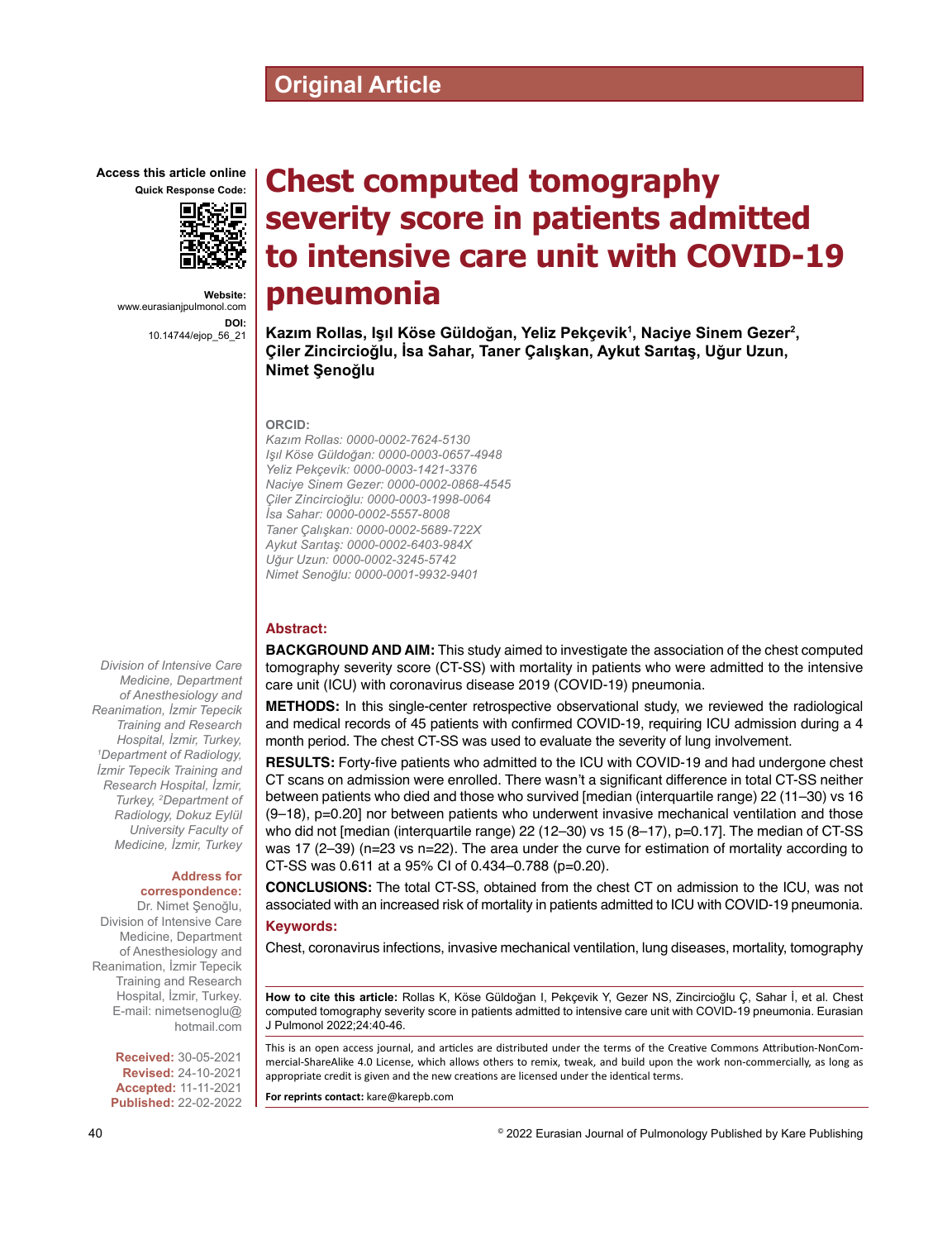# **Original Article**

**Access this article online Quick Response Code:**



**Website:** www.eurasianjpulmonol.com **DOI:** 10.14744/ejop\_56\_21

# **Chest computed tomography severity score in patients admitted to intensive care unit with COVID-19 pneumonia**

**Kazım Rollas, Işıl Köse Güldoğan, Yeliz Pekçevi̇k<sup>1</sup> , Naciye Sinem Gezer<sup>2</sup> , Çiler Zi̇nci̇rci̇oğlu, İsa Sahar, Taner Çalışkan, Aykut Sarıtaş, Uğur Uzun, Nimet Şenoğlu**

#### **ORCID:**

*Kazım Rollas: 0000-0002-7624-5130 Işıl Köse Güldoğan: 0000-0003-0657-4948 Yeliz Pekçevi̇k: 0000-0003-1421-3376 Naciye Sinem Gezer: 0000-0002-0868-4545 Çiler Zi̇nci̇rci̇oğlu: 0000-0003-1998-0064 İsa Sahar: 0000-0002-5557-8008 Taner Çalışkan: 0000-0002-5689-722X Aykut Sarıtaş: 0000-0002-6403-984X Uğur Uzun: 0000-0002-3245-5742 Nimet Senoğlu: 0000-0001-9932-9401*

#### **Abstract:**

**BACKGROUND AND AIM:** This study aimed to investigate the association of the chest computed tomography severity score (CT-SS) with mortality in patients who were admitted to the intensive care unit (ICU) with coronavirus disease 2019 (COVID-19) pneumonia.

**METHODS:** In this single-center retrospective observational study, we reviewed the radiological and medical records of 45 patients with confirmed COVID-19, requiring ICU admission during a 4 month period. The chest CT-SS was used to evaluate the severity of lung involvement.

**RESULTS:** Forty-five patients who admitted to the ICU with COVID-19 and had undergone chest CT scans on admission were enrolled. There wasn't a significant difference in total CT-SS neither between patients who died and those who survived [median (interquartile range) 22 (11–30) vs 16 (9–18), p=0.20] nor between patients who underwent invasive mechanical ventilation and those who did not [median (interquartile range) 22 (12-30) vs 15 (8-17), p=0.17]. The median of CT-SS was 17 (2-39) (n=23 vs n=22). The area under the curve for estimation of mortality according to CT-SS was 0.611 at a 95% CI of 0.434–0.788 (p=0.20).

**CONCLUSIONS:** The total CT-SS, obtained from the chest CT on admission to the ICU, was not associated with an increased risk of mortality in patients admitted to ICU with COVID-19 pneumonia. **Keywords:**

Chest, coronavirus infections, invasive mechanical ventilation, lung diseases, mortality, tomography

**How to cite this article:** Rollas K, Köse Güldoğan I, Pekçevik Y, Gezer NS, Zincircioğlu Ç, Sahar İ, et al. Chest computed tomography severity score in patients admitted to intensive care unit with COVID-19 pneumonia. Eurasian J Pulmonol 2022;24:40-46.

This is an open access journal, and articles are distributed under the terms of the Creative Commons Attribution-NonCommercial‑ShareAlike 4.0 License, which allows others to remix, tweak, and build upon the work non‑commercially, as long as appropriate credit is given and the new creations are licensed under the identical terms.

**For reprints contact:** kare@karepb.com

*Division of Intensive Care Medicine, Department of Anesthesiology and Reanimation, İzmir Tepecik Training and Research Hospital, İzmir, Turkey, 1 Department of Radiology, İzmir Tepecik Training and Research Hospital, İzmir, Turkey, 2 Department of Radiology, Dokuz Eylül University Faculty of Medicine, İzmir, Turkey*

# **Address for correspondence:**

Dr. Nimet Şenoğlu, Division of Intensive Care Medicine, Department of Anesthesiology and Reanimation, İzmir Tepecik Training and Research Hospital, İzmir, Turkey. E-mail: nimetsenoglu@ hotmail.com

> **Received:** 30-05-2021 **Revised:** 24-10-2021 **Accepted:** 11-11-2021 **Published:** 22-02-2022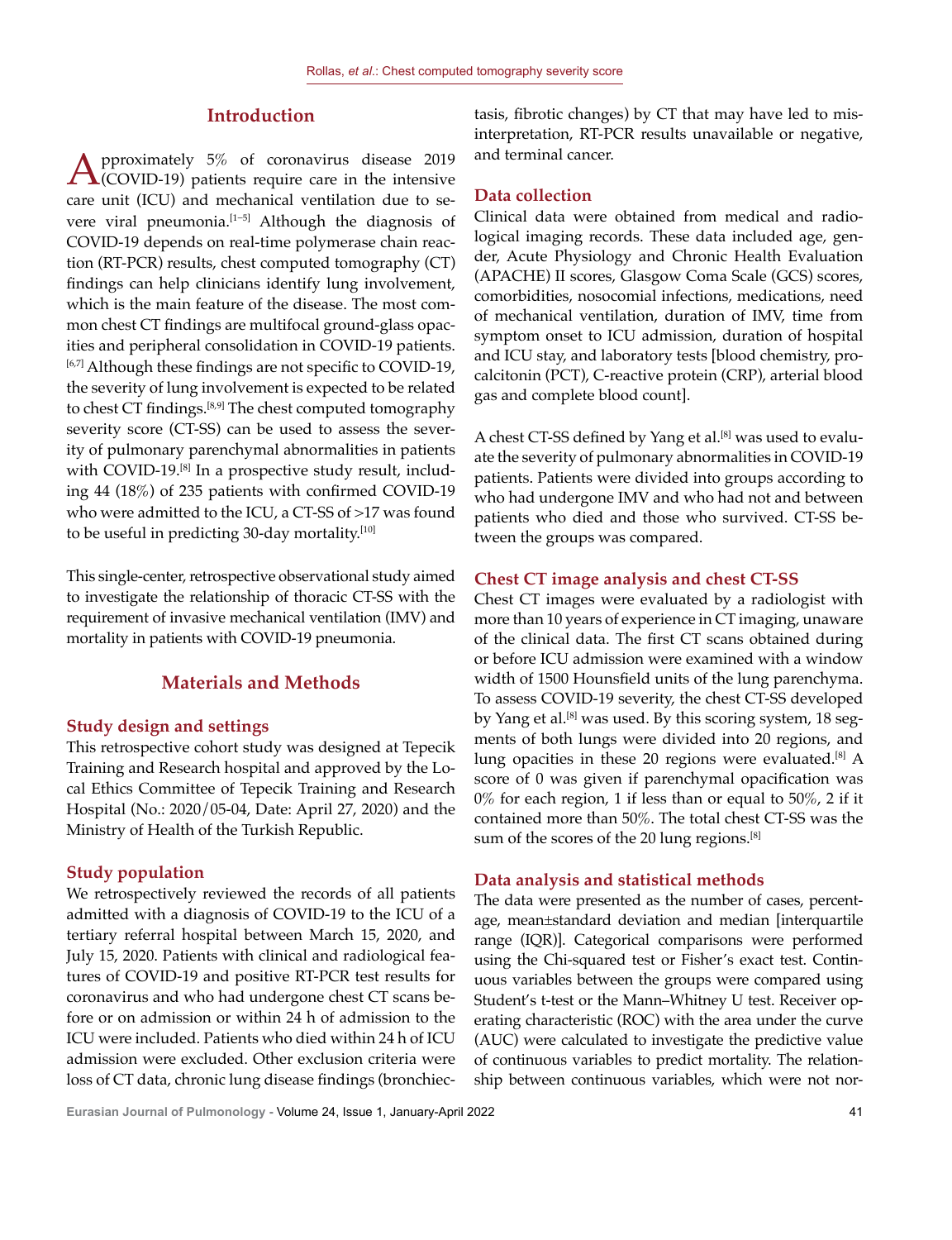# **Introduction**

 $\mathbf{A}$ (COVID-19) patients require care in the intensive care unit (ICU) and mechanical ventilation due to severe viral pneumonia.<sup>[1−5]</sup> Although the diagnosis of COVID-19 depends on real-time polymerase chain reaction (RT-PCR) results, chest computed tomography (CT) findings can help clinicians identify lung involvement, which is the main feature of the disease. The most common chest CT findings are multifocal ground-glass opacities and peripheral consolidation in COVID-19 patients. [6,7] Although these findings are not specific to COVID-19, the severity of lung involvement is expected to be related to chest CT findings.<sup>[8,9]</sup> The chest computed tomography severity score (CT-SS) can be used to assess the severity of pulmonary parenchymal abnormalities in patients with COVID-19.<sup>[8]</sup> In a prospective study result, including 44 (18%) of 235 patients with confirmed COVID-19 who were admitted to the ICU, a CT-SS of >17 was found to be useful in predicting 30-day mortality.<sup>[10]</sup>

This single-center, retrospective observational study aimed to investigate the relationship of thoracic CT-SS with the requirement of invasive mechanical ventilation (IMV) and mortality in patients with COVID-19 pneumonia.

# **Materials and Methods**

### **Study design and settings**

This retrospective cohort study was designed at Tepecik Training and Research hospital and approved by the Local Ethics Committee of Tepecik Training and Research Hospital (No.: 2020/05-04, Date: April 27, 2020) and the Ministry of Health of the Turkish Republic.

# **Study population**

We retrospectively reviewed the records of all patients admitted with a diagnosis of COVID-19 to the ICU of a tertiary referral hospital between March 15, 2020, and July 15, 2020. Patients with clinical and radiological features of COVID-19 and positive RT-PCR test results for coronavirus and who had undergone chest CT scans before or on admission or within 24 h of admission to the ICU were included. Patients who died within 24 h of ICU admission were excluded. Other exclusion criteria were loss of CT data, chronic lung disease findings (bronchiec-

tasis, fibrotic changes) by CT that may have led to misinterpretation, RT-PCR results unavailable or negative, and terminal cancer.

# **Data collection**

Clinical data were obtained from medical and radiological imaging records. These data included age, gender, Acute Physiology and Chronic Health Evaluation (APACHE) II scores, Glasgow Coma Scale (GCS) scores, comorbidities, nosocomial infections, medications, need of mechanical ventilation, duration of IMV, time from symptom onset to ICU admission, duration of hospital and ICU stay, and laboratory tests [blood chemistry, procalcitonin (PCT), C-reactive protein (CRP), arterial blood gas and complete blood count].

A chest CT-SS defined by Yang et al.<sup>[8]</sup> was used to evaluate the severity of pulmonary abnormalities in COVID-19 patients. Patients were divided into groups according to who had undergone IMV and who had not and between patients who died and those who survived. CT-SS between the groups was compared.

# **Chest CT image analysis and chest CT-SS**

Chest CT images were evaluated by a radiologist with more than 10 years of experience in CT imaging, unaware of the clinical data. The first CT scans obtained during or before ICU admission were examined with a window width of 1500 Hounsfield units of the lung parenchyma. To assess COVID-19 severity, the chest CT-SS developed by Yang et al.<sup>[8]</sup> was used. By this scoring system, 18 segments of both lungs were divided into 20 regions, and lung opacities in these 20 regions were evaluated.<sup>[8]</sup> A score of 0 was given if parenchymal opacification was  $0\%$  for each region, 1 if less than or equal to  $50\%$ , 2 if it contained more than 50%. The total chest CT-SS was the sum of the scores of the 20 lung regions.<sup>[8]</sup>

#### **Data analysis and statistical methods**

The data were presented as the number of cases, percentage, mean±standard deviation and median [interquartile range (IQR)]. Categorical comparisons were performed using the Chi-squared test or Fisher's exact test. Continuous variables between the groups were compared using Student's t-test or the Mann–Whitney U test. Receiver operating characteristic (ROC) with the area under the curve (AUC) were calculated to investigate the predictive value of continuous variables to predict mortality. The relationship between continuous variables, which were not nor-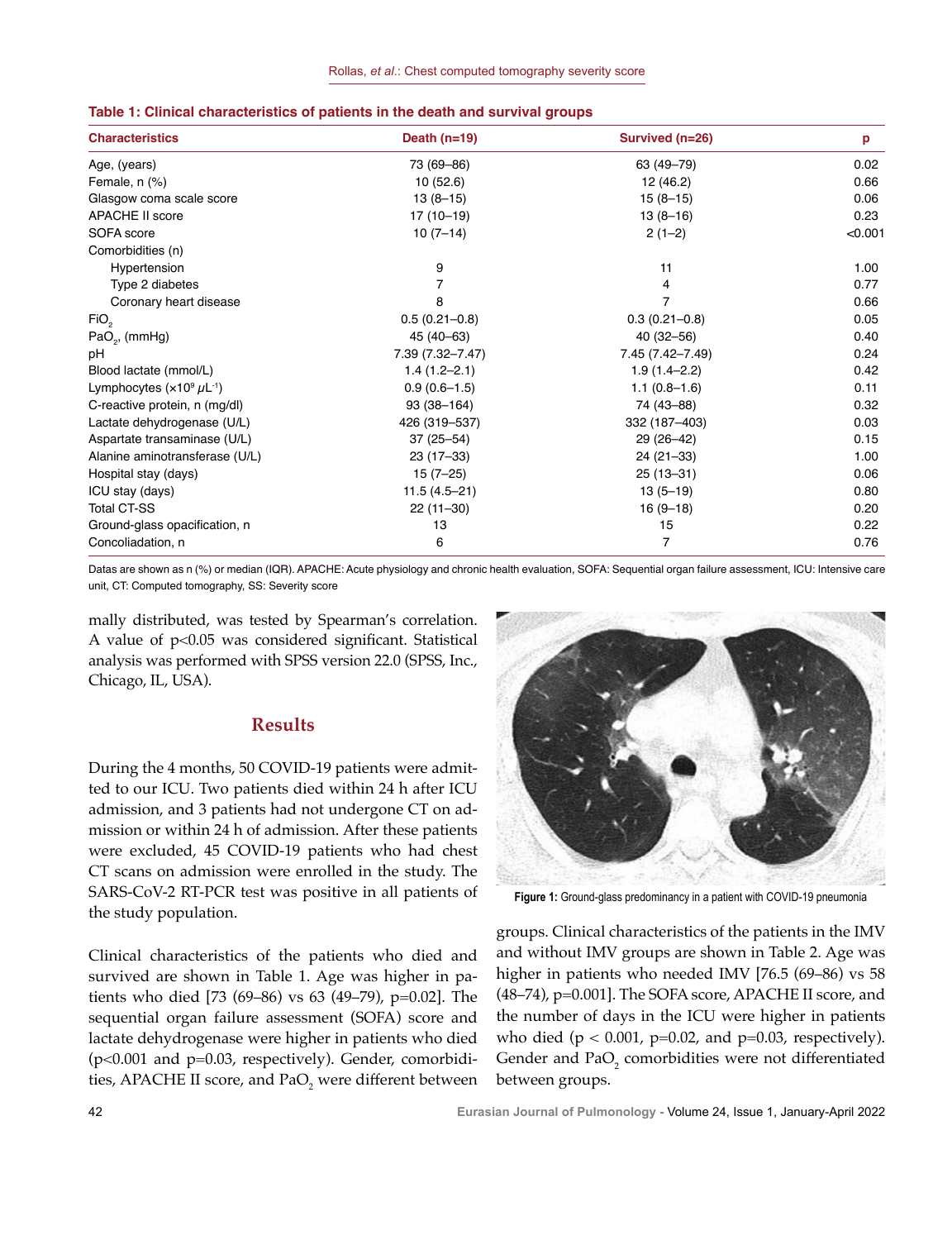| <b>Characteristics</b>           | Death $(n=19)$    | Survived (n=26)   | p       |
|----------------------------------|-------------------|-------------------|---------|
| Age, (years)                     | 73 (69-86)        | 63 (49 - 79)      | 0.02    |
| Female, n (%)                    | 10(52.6)          | 12 (46.2)         | 0.66    |
| Glasgow coma scale score         | $13(8-15)$        | $15(8-15)$        | 0.06    |
| <b>APACHE II score</b>           | 17 (10-19)        | $13(8-16)$        | 0.23    |
| SOFA score                       | $10(7-14)$        | $2(1-2)$          | < 0.001 |
| Comorbidities (n)                |                   |                   |         |
| Hypertension                     | 9                 | 11                | 1.00    |
| Type 2 diabetes                  |                   | 4                 | 0.77    |
| Coronary heart disease           | 8                 | $\overline{7}$    | 0.66    |
| FiO <sub>2</sub>                 | $0.5(0.21 - 0.8)$ | $0.3(0.21 - 0.8)$ | 0.05    |
| $PaO2$ , (mmHg)                  | 45 (40 - 63)      | 40 (32-56)        | 0.40    |
| рH                               | 7.39 (7.32-7.47)  | 7.45 (7.42-7.49)  | 0.24    |
| Blood lactate (mmol/L)           | $1.4(1.2 - 2.1)$  | $1.9(1.4 - 2.2)$  | 0.42    |
| Lymphocytes $(x10^9 \mu L^{-1})$ | $0.9(0.6-1.5)$    | $1.1(0.8-1.6)$    | 0.11    |
| C-reactive protein, n (mg/dl)    | 93 (38-164)       | 74 (43-88)        | 0.32    |
| Lactate dehydrogenase (U/L)      | 426 (319-537)     | 332 (187-403)     | 0.03    |
| Aspartate transaminase (U/L)     | $37(25 - 54)$     | 29 (26-42)        | 0.15    |
| Alanine aminotransferase (U/L)   | $23(17-33)$       | $24(21-33)$       | 1.00    |
| Hospital stay (days)             | $15(7-25)$        | $25(13-31)$       | 0.06    |
| ICU stay (days)                  | $11.5(4.5 - 21)$  | $13(5 - 19)$      | 0.80    |
| <b>Total CT-SS</b>               | $22(11-30)$       | $16(9-18)$        | 0.20    |
| Ground-glass opacification, n    | 13                | 15                | 0.22    |
| Concoliadation, n                | 6                 | $\overline{7}$    | 0.76    |

#### **Table 1: Clinical characteristics of patients in the death and survival groups**

Datas are shown as n (%) or median (IQR). APACHE: Acute physiology and chronic health evaluation, SOFA: Sequential organ failure assessment, ICU: Intensive care unit, CT: Computed tomography, SS: Severity score

mally distributed, was tested by Spearman's correlation. A value of p<0.05 was considered significant. Statistical analysis was performed with SPSS version 22.0 (SPSS, Inc., Chicago, IL, USA).

# **Results**

During the 4 months, 50 COVID-19 patients were admitted to our ICU. Two patients died within 24 h after ICU admission, and 3 patients had not undergone CT on admission or within 24 h of admission. After these patients were excluded, 45 COVID-19 patients who had chest CT scans on admission were enrolled in the study. The SARS-CoV-2 RT-PCR test was positive in all patients of the study population.

Clinical characteristics of the patients who died and survived are shown in Table 1. Age was higher in patients who died [73 (69–86) vs 63 (49–79), p=0.02]. The sequential organ failure assessment (SOFA) score and lactate dehydrogenase were higher in patients who died  $(p<0.001$  and  $p=0.03$ , respectively). Gender, comorbidities, APACHE II score, and Pa $O_{2}$  were different between



**Figure 1:** Ground-glass predominancy in a patient with COVID-19 pneumonia

groups. Clinical characteristics of the patients in the IMV and without IMV groups are shown in Table 2. Age was higher in patients who needed IMV [76.5 (69–86) vs 58 (48–74), p=0.001]. The SOFA score, APACHE II score, and the number of days in the ICU were higher in patients who died ( $p < 0.001$ ,  $p=0.02$ , and  $p=0.03$ , respectively). Gender and  $PaO_2$  comorbidities were not differentiated between groups.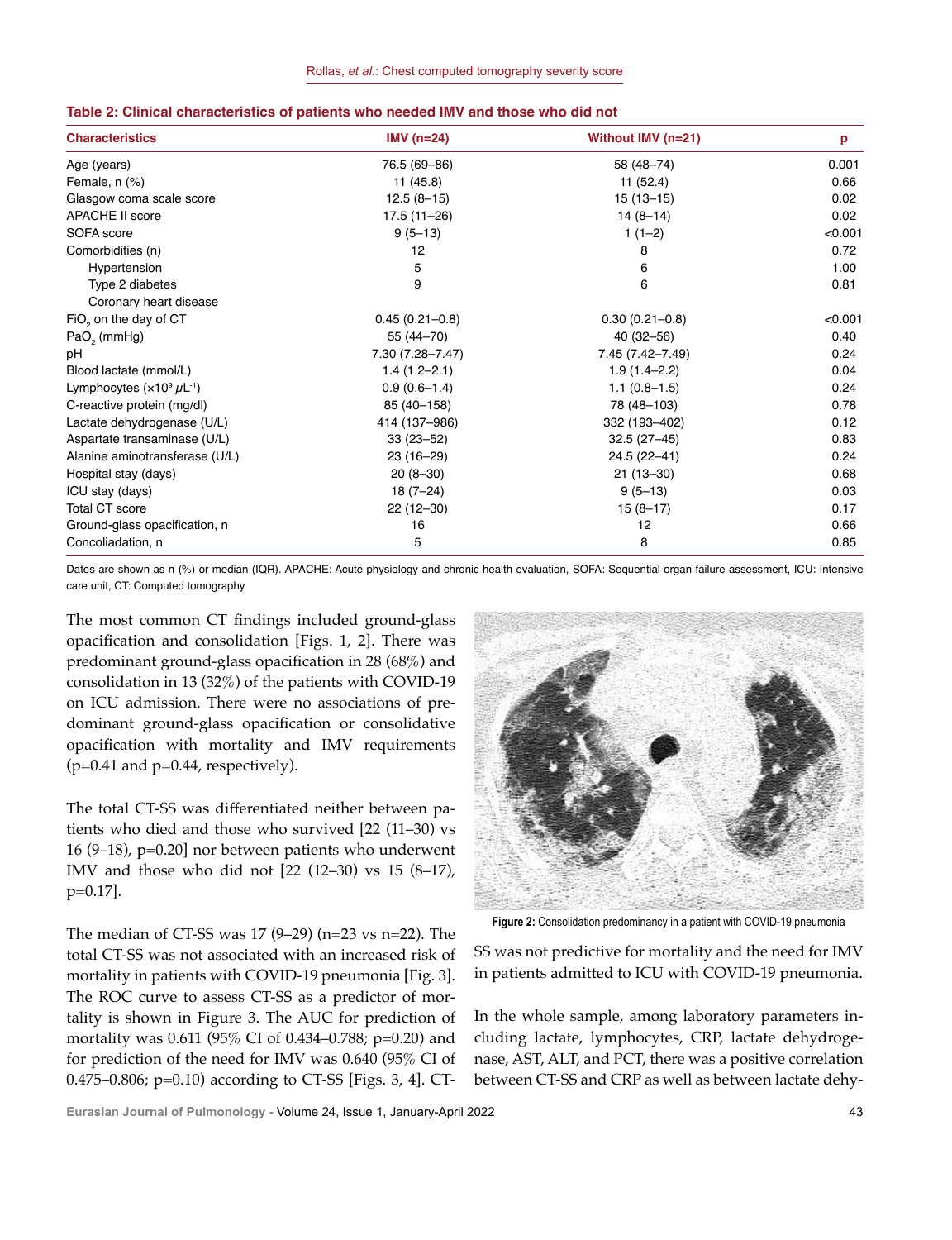| <b>Characteristics</b>            | IMV $(n=24)$       | Without IMV (n=21) | p       |
|-----------------------------------|--------------------|--------------------|---------|
| Age (years)                       | 76.5 (69-86)       | 58 (48-74)         | 0.001   |
| Female, n (%)                     | 11(45.8)           | 11(52.4)           | 0.66    |
| Glasgow coma scale score          | $12.5(8-15)$       | $15(13-15)$        | 0.02    |
| <b>APACHE II score</b>            | 17.5 (11-26)       | $14(8-14)$         | 0.02    |
| SOFA score                        | $9(5-13)$          | $1(1-2)$           | < 0.001 |
| Comorbidities (n)                 | 12                 | 8                  | 0.72    |
| Hypertension                      | 5                  | 6                  | 1.00    |
| Type 2 diabetes                   | 9                  | 6                  | 0.81    |
| Coronary heart disease            |                    |                    |         |
| FiO <sub>2</sub> on the day of CT | $0.45(0.21 - 0.8)$ | $0.30(0.21 - 0.8)$ | < 0.001 |
| $PaO2$ (mmHg)                     | 55 (44-70)         | $40(32 - 56)$      | 0.40    |
| pН                                | 7.30 (7.28-7.47)   | 7.45 (7.42-7.49)   | 0.24    |
| Blood lactate (mmol/L)            | $1.4(1.2 - 2.1)$   | $1.9(1.4 - 2.2)$   | 0.04    |
| Lymphocytes $(x10^9 \mu L^{-1})$  | $0.9(0.6-1.4)$     | $1.1(0.8-1.5)$     | 0.24    |
| C-reactive protein (mg/dl)        | 85 (40 - 158)      | 78 (48-103)        | 0.78    |
| Lactate dehydrogenase (U/L)       | 414 (137-986)      | 332 (193-402)      | 0.12    |
| Aspartate transaminase (U/L)      | $33(23 - 52)$      | $32.5(27-45)$      | 0.83    |
| Alanine aminotransferase (U/L)    | $23(16-29)$        | 24.5 (22-41)       | 0.24    |
| Hospital stay (days)              | $20(8-30)$         | $21(13-30)$        | 0.68    |
| ICU stay (days)                   | $18(7-24)$         | $9(5-13)$          | 0.03    |
| <b>Total CT score</b>             | $22(12-30)$        | $15(8-17)$         | 0.17    |
| Ground-glass opacification, n     | 16                 | 12                 | 0.66    |
| Concoliadation, n                 | 5                  | 8                  | 0.85    |

#### **Table 2: Clinical characteristics of patients who needed IMV and those who did not**

Dates are shown as n (%) or median (IQR). APACHE: Acute physiology and chronic health evaluation, SOFA: Sequential organ failure assessment, ICU: Intensive care unit, CT: Computed tomography

The most common CT findings included ground-glass opacification and consolidation [Figs. 1, 2]. There was predominant ground-glass opacification in 28 (68%) and consolidation in 13 (32%) of the patients with COVID-19 on ICU admission. There were no associations of predominant ground-glass opacification or consolidative opacification with mortality and IMV requirements  $(p=0.41$  and  $p=0.44$ , respectively).

The total CT-SS was differentiated neither between patients who died and those who survived [22 (11–30) vs 16 (9–18), p=0.20] nor between patients who underwent IMV and those who did not [22 (12–30) vs 15 (8–17), p=0.17].

The median of CT-SS was  $17$  (9–29) (n=23 vs n=22). The total CT-SS was not associated with an increased risk of mortality in patients with COVID-19 pneumonia [Fig. 3]. The ROC curve to assess CT-SS as a predictor of mortality is shown in Figure 3. The AUC for prediction of mortality was 0.611 (95% CI of 0.434–0.788; p=0.20) and for prediction of the need for IMV was 0.640 (95% CI of 0.475–0.806; p=0.10) according to CT-SS [Figs. 3, 4]. CT-



**Figure 2:** Consolidation predominancy in a patient with COVID-19 pneumonia

SS was not predictive for mortality and the need for IMV in patients admitted to ICU with COVID-19 pneumonia.

In the whole sample, among laboratory parameters including lactate, lymphocytes, CRP, lactate dehydrogenase, AST, ALT, and PCT, there was a positive correlation between CT-SS and CRP as well as between lactate dehy-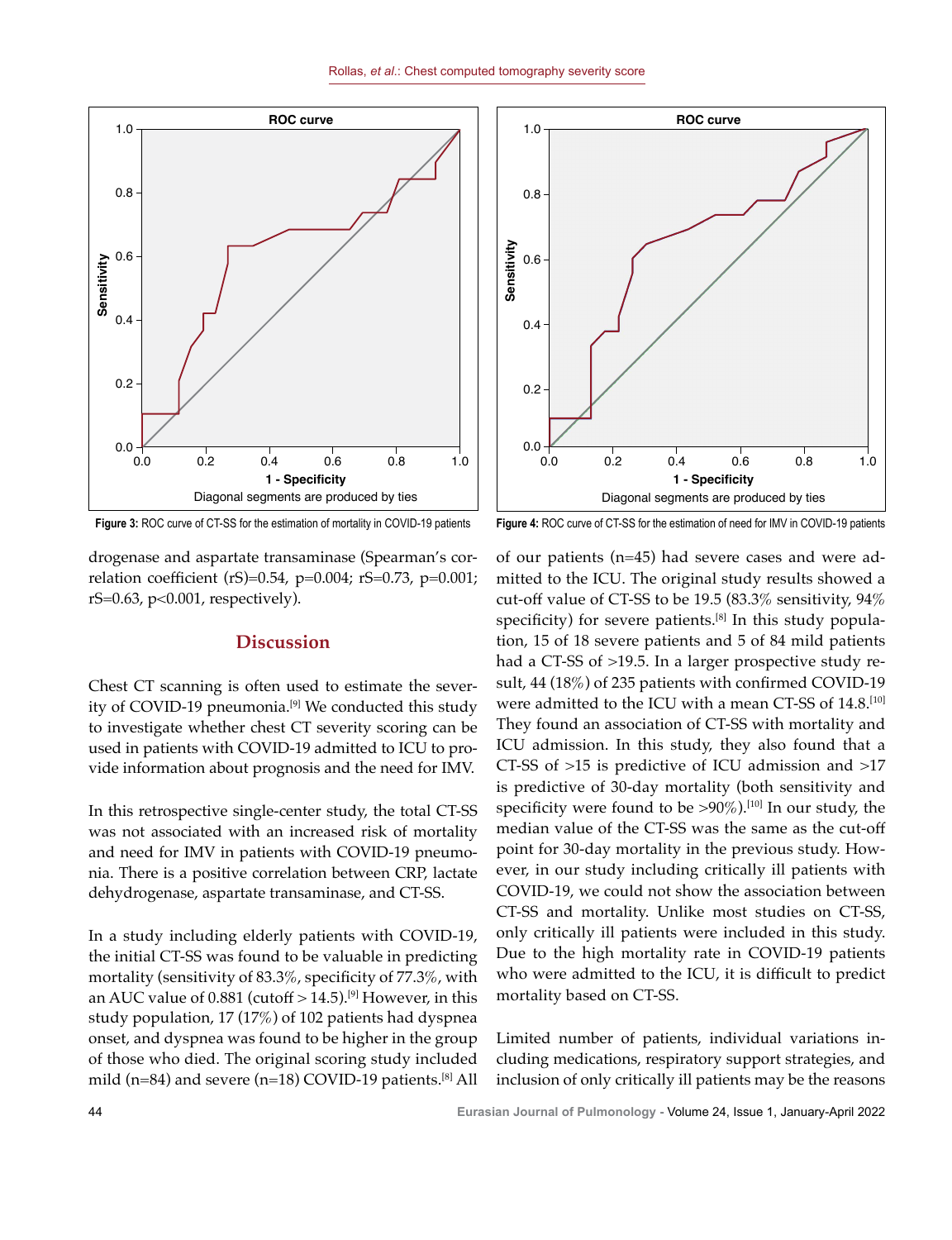



**Figure 3:** ROC curve of CT-SS for the estimation of mortality in COVID-19 patients

drogenase and aspartate transaminase (Spearman's correlation coefficient (rS)=0.54, p=0.004; rS=0.73, p=0.001; rS=0.63, p<0.001, respectively).

# **Discussion**

Chest CT scanning is often used to estimate the severity of COVID-19 pneumonia.<sup>[9]</sup> We conducted this study to investigate whether chest CT severity scoring can be used in patients with COVID-19 admitted to ICU to provide information about prognosis and the need for IMV.

In this retrospective single-center study, the total CT-SS was not associated with an increased risk of mortality and need for IMV in patients with COVID-19 pneumonia. There is a positive correlation between CRP, lactate dehydrogenase, aspartate transaminase, and CT-SS.

In a study including elderly patients with COVID-19, the initial CT-SS was found to be valuable in predicting mortality (sensitivity of 83.3%, specificity of 77.3%, with an AUC value of 0.881 (cutoff  $> 14.5$ ).<sup>[9]</sup> However, in this study population, 17 (17%) of 102 patients had dyspnea onset, and dyspnea was found to be higher in the group of those who died. The original scoring study included mild (n=84) and severe (n=18) COVID-19 patients.<sup>[8]</sup> All

**Figure 4:** ROC curve of CT-SS for the estimation of need for IMV in COVID-19 patients

of our patients (n=45) had severe cases and were admitted to the ICU. The original study results showed a cut-off value of CT-SS to be 19.5 (83.3% sensitivity,  $94\%$ specificity) for severe patients.<sup>[8]</sup> In this study population, 15 of 18 severe patients and 5 of 84 mild patients had a CT-SS of >19.5. In a larger prospective study result, 44 (18%) of 235 patients with confirmed COVID-19 were admitted to the ICU with a mean CT-SS of 14.8.[10] They found an association of CT-SS with mortality and ICU admission. In this study, they also found that a CT-SS of >15 is predictive of ICU admission and >17 is predictive of 30-day mortality (both sensitivity and specificity were found to be  $>90\%$ ).<sup>[10]</sup> In our study, the median value of the CT-SS was the same as the cut-off point for 30-day mortality in the previous study. However, in our study including critically ill patients with COVID-19, we could not show the association between CT-SS and mortality. Unlike most studies on CT-SS, only critically ill patients were included in this study. Due to the high mortality rate in COVID-19 patients who were admitted to the ICU, it is difficult to predict mortality based on CT-SS.

Limited number of patients, individual variations including medications, respiratory support strategies, and inclusion of only critically ill patients may be the reasons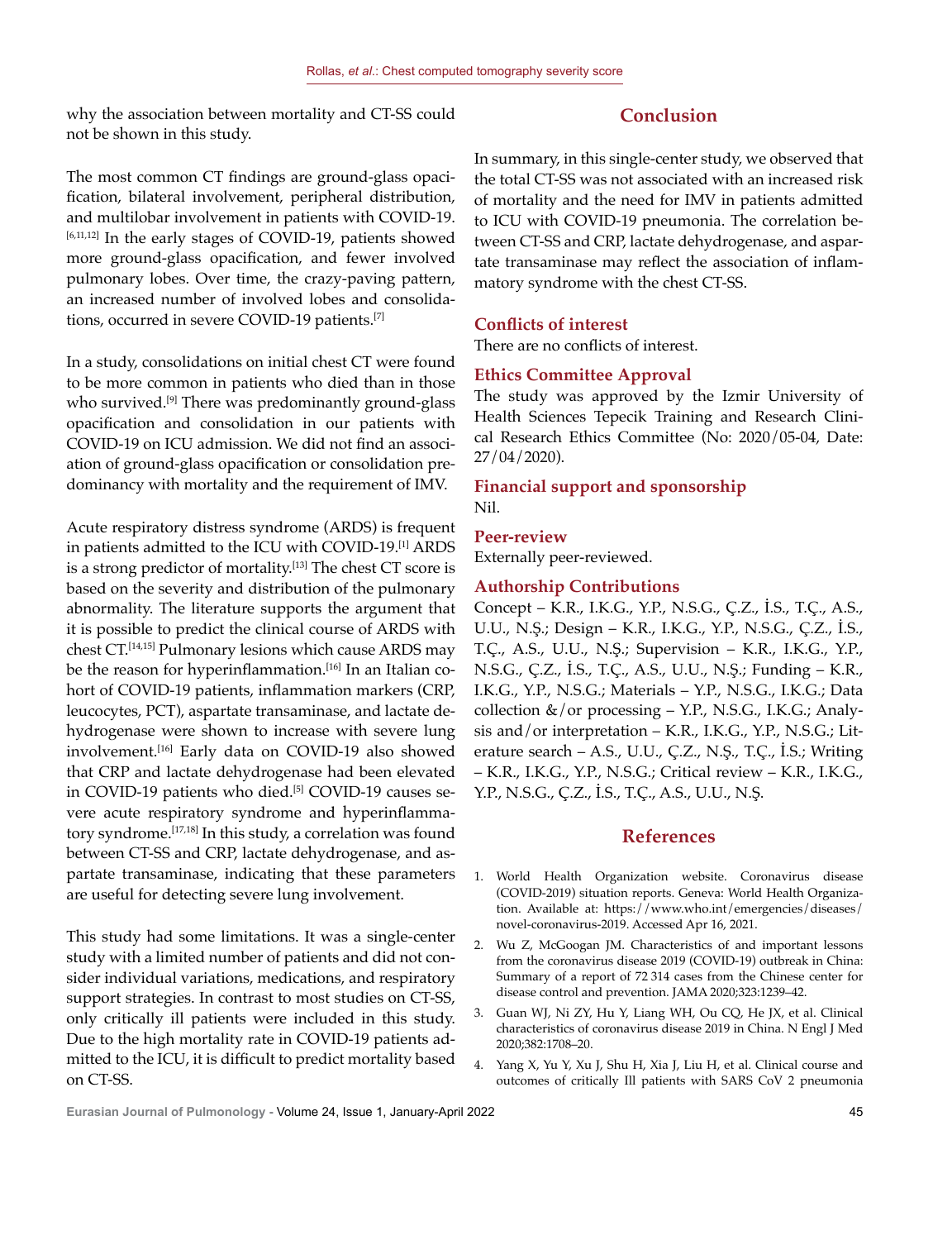why the association between mortality and CT-SS could not be shown in this study.

# **Conclusion**

The most common CT findings are ground-glass opacification, bilateral involvement, peripheral distribution, and multilobar involvement in patients with COVID-19. [6,11,12] In the early stages of COVID-19, patients showed more ground-glass opacification, and fewer involved pulmonary lobes. Over time, the crazy-paving pattern, an increased number of involved lobes and consolidations, occurred in severe COVID-19 patients.[7]

In a study, consolidations on initial chest CT were found to be more common in patients who died than in those who survived.<sup>[9]</sup> There was predominantly ground-glass opacification and consolidation in our patients with COVID-19 on ICU admission. We did not find an association of ground-glass opacification or consolidation predominancy with mortality and the requirement of IMV.

Acute respiratory distress syndrome (ARDS) is frequent in patients admitted to the ICU with COVID-19.[1] ARDS is a strong predictor of mortality.<sup>[13]</sup> The chest CT score is based on the severity and distribution of the pulmonary abnormality. The literature supports the argument that it is possible to predict the clinical course of ARDS with chest CT.<sup>[14,15]</sup> Pulmonary lesions which cause ARDS may be the reason for hyperinflammation.<sup>[16]</sup> In an Italian cohort of COVID-19 patients, inflammation markers (CRP, leucocytes, PCT), aspartate transaminase, and lactate dehydrogenase were shown to increase with severe lung involvement.[16] Early data on COVID-19 also showed that CRP and lactate dehydrogenase had been elevated in COVID-19 patients who died.<sup>[5]</sup> COVID-19 causes severe acute respiratory syndrome and hyperinflammatory syndrome.[17,18] In this study, a correlation was found between CT-SS and CRP, lactate dehydrogenase, and aspartate transaminase, indicating that these parameters are useful for detecting severe lung involvement.

This study had some limitations. It was a single-center study with a limited number of patients and did not consider individual variations, medications, and respiratory support strategies. In contrast to most studies on CT-SS, only critically ill patients were included in this study. Due to the high mortality rate in COVID-19 patients admitted to the ICU, it is difficult to predict mortality based on CT-SS.

In summary, in this single-center study, we observed that the total CT-SS was not associated with an increased risk of mortality and the need for IMV in patients admitted to ICU with COVID-19 pneumonia. The correlation between CT-SS and CRP, lactate dehydrogenase, and aspartate transaminase may reflect the association of inflammatory syndrome with the chest CT-SS.

# **Conflicts of interest**

There are no conflicts of interest.

# **Ethics Committee Approval**

The study was approved by the Izmir University of Health Sciences Tepecik Training and Research Clinical Research Ethics Committee (No: 2020/05-04, Date: 27/04/2020).

# **Financial support and sponsorship** Nil.

# **Peer-review**

Externally peer-reviewed.

# **Authorship Contributions**

Concept – K.R., I.K.G., Y.P., N.S.G., Ç.Z., İ.S., T.Ç., A.S., U.U., N.Ş.; Design – K.R., I.K.G., Y.P., N.S.G., Ç.Z., İ.S., T.Ç., A.S., U.U., N.Ş.; Supervision – K.R., I.K.G., Y.P., N.S.G., Ç.Z., İ.S., T.Ç., A.S., U.U., N.Ş.; Funding – K.R., I.K.G., Y.P., N.S.G.; Materials – Y.P., N.S.G., I.K.G.; Data collection &/or processing – Y.P., N.S.G., I.K.G.; Analysis and/or interpretation – K.R., I.K.G., Y.P., N.S.G.; Literature search – A.S., U.U., Ç.Z., N.Ş., T.Ç., İ.S.; Writing – K.R., I.K.G., Y.P., N.S.G.; Critical review – K.R., I.K.G., Y.P., N.S.G., Ç.Z., İ.S., T.Ç., A.S., U.U., N.Ş.

# **References**

- 1. World Health Organization website. Coronavirus disease (COVID-2019) situation reports. Geneva: World Health Organization. Available at: https://www.who.int/emergencies/diseases/ novel-coronavirus-2019. Accessed Apr 16, 2021.
- 2. Wu Z, McGoogan JM. Characteristics of and important lessons from the coronavirus disease 2019 (COVID-19) outbreak in China: Summary of a report of 72 314 cases from the Chinese center for disease control and prevention. JAMA 2020;323:1239–42.
- 3. Guan WJ, Ni ZY, Hu Y, Liang WH, Ou CQ, He JX, et al. Clinical characteristics of coronavirus disease 2019 in China. N Engl J Med 2020;382:1708–20.
- 4. Yang X, Yu Y, Xu J, Shu H, Xia J, Liu H, et al. Clinical course and outcomes of critically Ill patients with SARS CoV 2 pneumonia